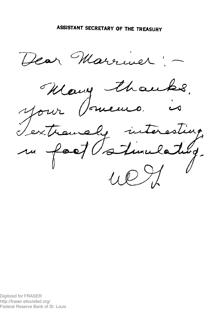Marriver: Dear  $\overline{\phantom{0}}$ Many thanks. your Somemo. trancly inter esting me fact Partimulating

Digitized for FRASER http://fraser.stlouisfed.org/ Federal Reserve Bank of St. Louis